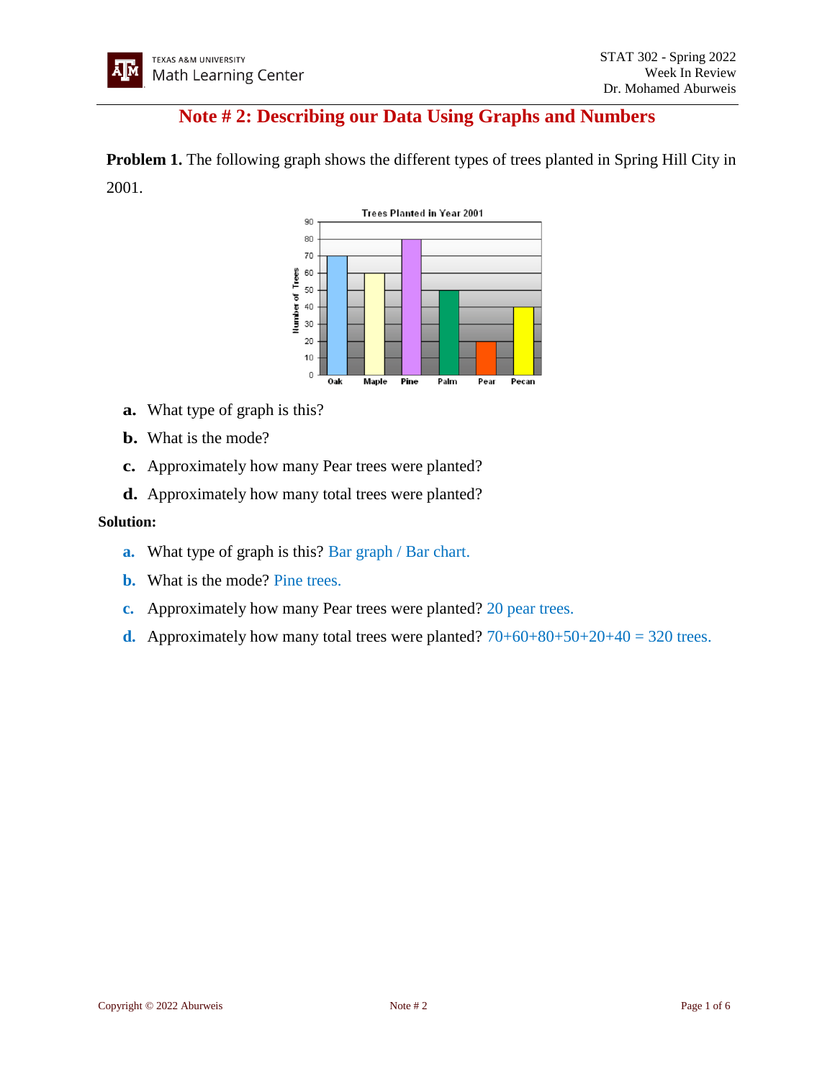# **Note # 2: Describing our Data Using Graphs and Numbers**

**Problem 1.** The following graph shows the different types of trees planted in Spring Hill City in 2001.



- **a.** What type of graph is this?
- **b.** What is the mode?
- **c.** Approximately how many Pear trees were planted?
- **d.** Approximately how many total trees were planted?

#### **Solution:**

- **a.** What type of graph is this? Bar graph / Bar chart.
- **b.** What is the mode? Pine trees.
- **c.** Approximately how many Pear trees were planted? 20 pear trees.
- **d.** Approximately how many total trees were planted?  $70+60+80+50+20+40 = 320$  trees.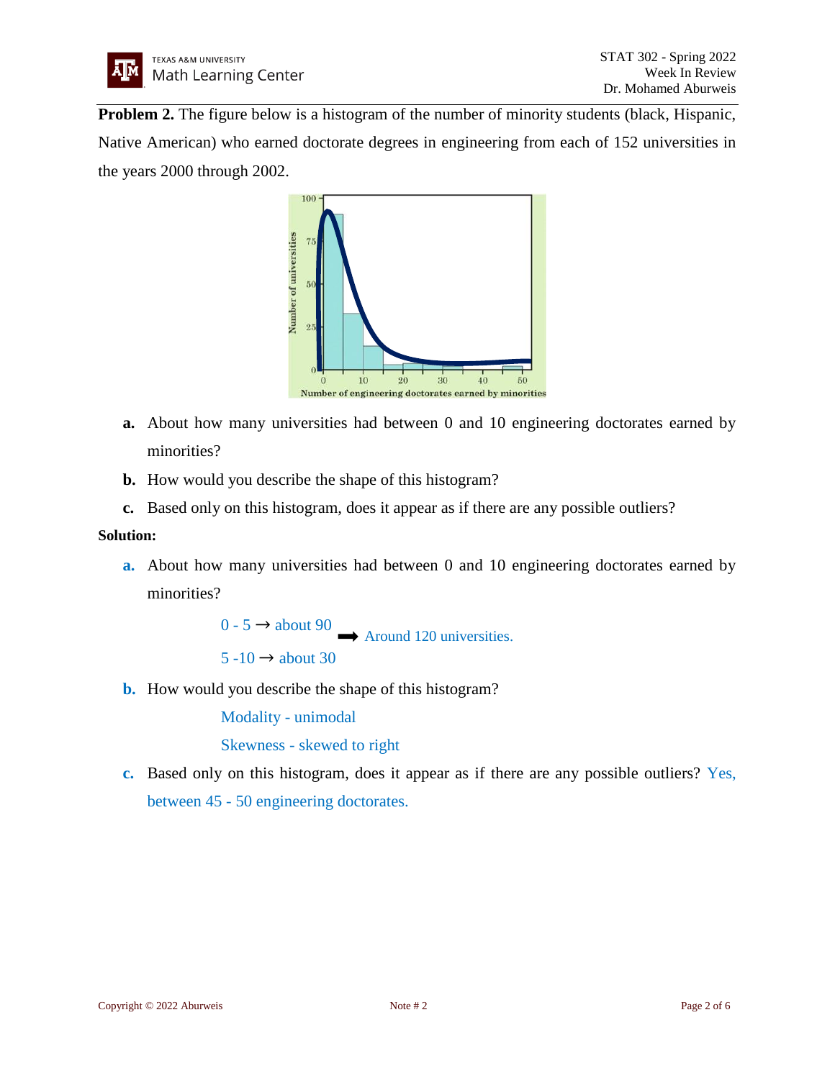**Problem 2.** The figure below is a histogram of the number of minority students (black, Hispanic, Native American) who earned doctorate degrees in engineering from each of 152 universities in the years 2000 through 2002.



- **a.** About how many universities had between 0 and 10 engineering doctorates earned by minorities?
- **b.** How would you describe the shape of this histogram?
- **c.** Based only on this histogram, does it appear as if there are any possible outliers?

## **Solution:**

**a.** About how many universities had between 0 and 10 engineering doctorates earned by minorities?

> $0 - 5 \rightarrow$  about 90  $5 -10 \rightarrow$  about 30 Around 120 universities.

**b.** How would you describe the shape of this histogram?

Modality - unimodal

Skewness - skewed to right

**c.** Based only on this histogram, does it appear as if there are any possible outliers? Yes, between 45 - 50 engineering doctorates.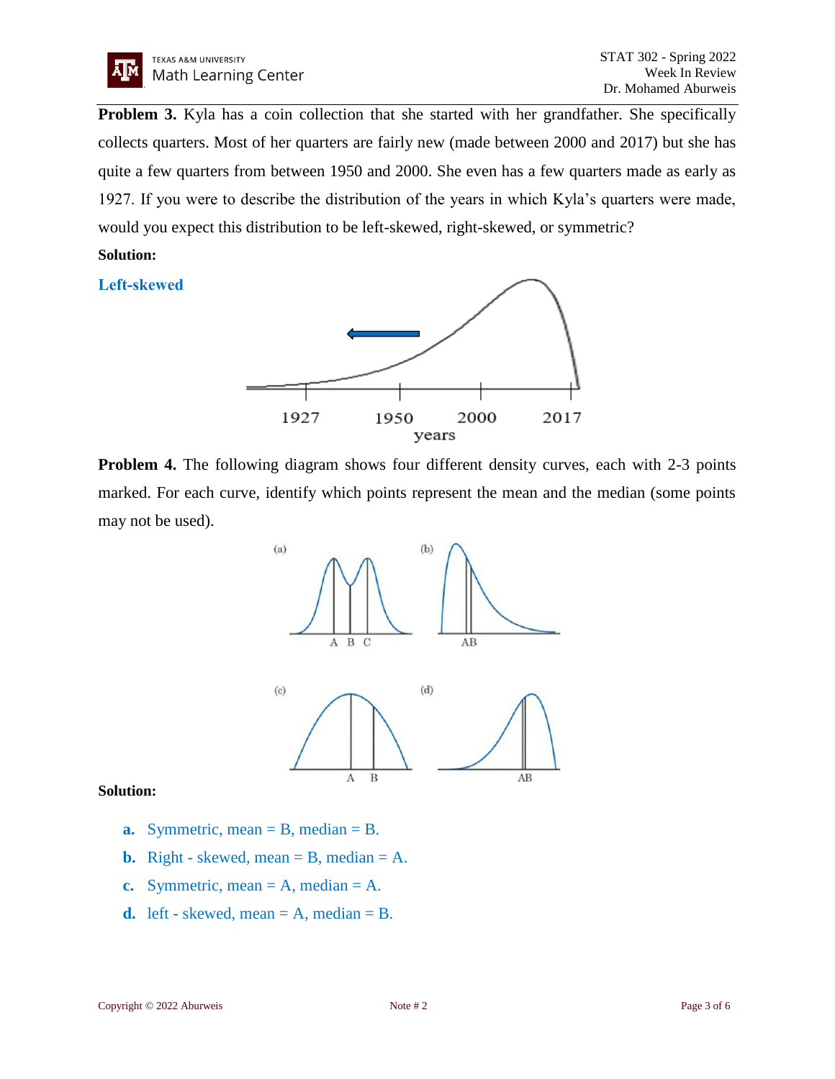

**Problem 3.** Kyla has a coin collection that she started with her grandfather. She specifically collects quarters. Most of her quarters are fairly new (made between 2000 and 2017) but she has quite a few quarters from between 1950 and 2000. She even has a few quarters made as early as 1927. If you were to describe the distribution of the years in which Kyla's quarters were made, would you expect this distribution to be left-skewed, right-skewed, or symmetric?

## **Solution:**

**Left-skewed**



**Problem 4.** The following diagram shows four different density curves, each with 2-3 points marked. For each curve, identify which points represent the mean and the median (some points may not be used).



#### **Solution:**

- **a.** Symmetric, mean = B, median = B.
- **b.** Right skewed, mean  $=$  B, median  $=$  A.
- **c.** Symmetric, mean  $= A$ , median  $= A$ .
- **d.** left skewed, mean  $= A$ , median  $= B$ .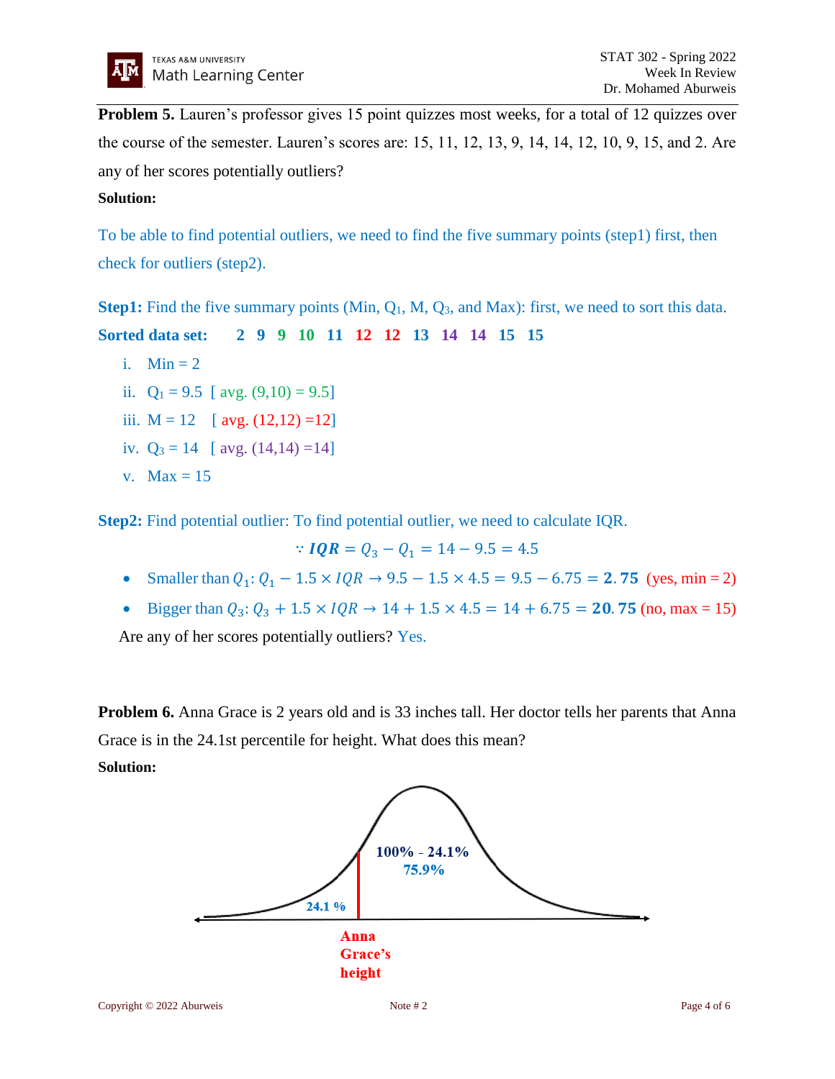**Problem 5.** Lauren's professor gives 15 point quizzes most weeks, for a total of 12 quizzes over the course of the semester. Lauren's scores are: 15, 11, 12, 13, 9, 14, 14, 12, 10, 9, 15, and 2. Are any of her scores potentially outliers?

## **Solution:**

To be able to find potential outliers, we need to find the five summary points (step1) first, then check for outliers (step2).

**Step1:** Find the five summary points (Min, Q<sub>1</sub>, M, Q<sub>3</sub>, and Max): first, we need to sort this data.

**Sorted data set: 2 9 9 10 11 12 12 13 14 14 15 15**

- i. Min  $= 2$
- ii.  $Q_1 = 9.5$  [ avg.  $(9.10) = 9.5$ ]
- iii.  $M = 12$  [ avg.  $(12,12) =12$ ]
- iv.  $Q_3 = 14$  [ avg.  $(14, 14) = 14$ ]
- v.  $Max = 15$

**Step2:** Find potential outlier: To find potential outlier, we need to calculate IQR.

 $\therefore$  **IQR** =  $Q_3 - Q_1 = 14 - 9.5 = 4.5$ 

- Smaller than  $Q_1: Q_1 1.5 \times IQR \rightarrow 9.5 1.5 \times 4.5 = 9.5 6.75 = 2.75$  (yes, min = 2)
- Bigger than  $Q_3$ :  $Q_3 + 1.5 \times IQR \rightarrow 14 + 1.5 \times 4.5 = 14 + 6.75 = 20.75$  (no, max = 15)

Are any of her scores potentially outliers? Yes.

**Problem 6.** Anna Grace is 2 years old and is 33 inches tall. Her doctor tells her parents that Anna Grace is in the 24.1st percentile for height. What does this mean? **Solution:**

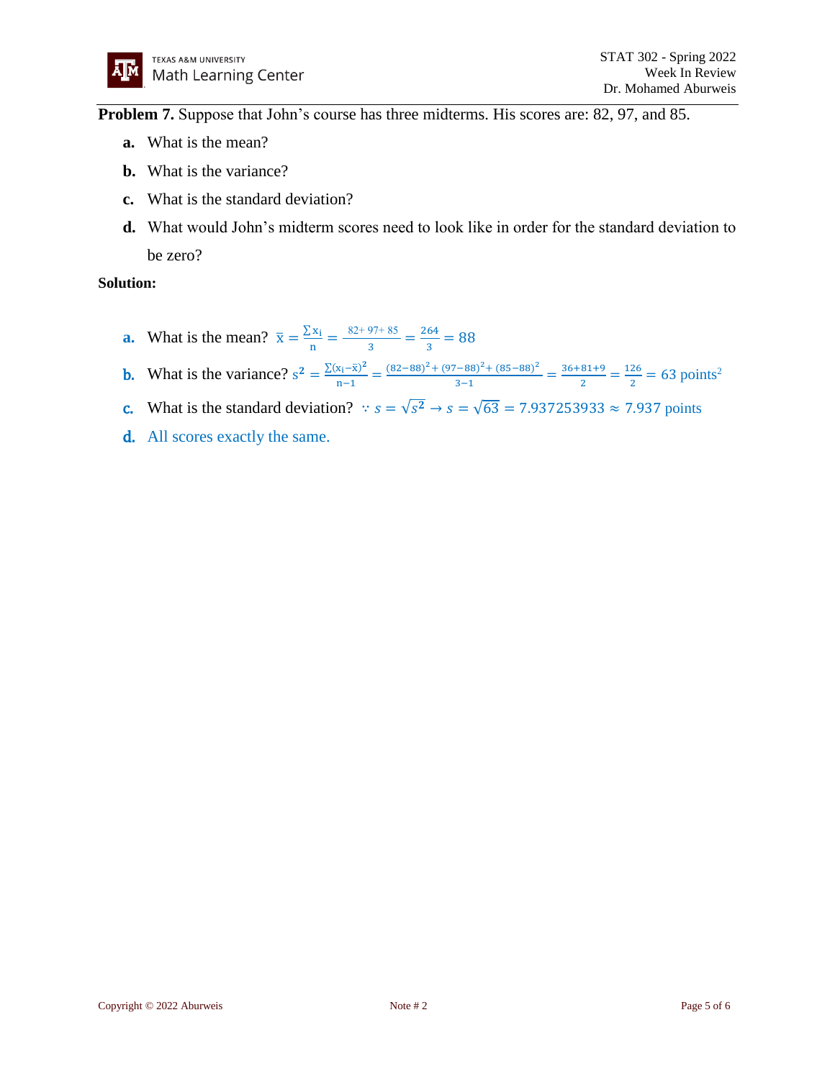**Problem 7.** Suppose that John's course has three midterms. His scores are: 82, 97, and 85.

- **a.** What is the mean?
- **b.** What is the variance?
- **c.** What is the standard deviation?
- **d.** What would John's midterm scores need to look like in order for the standard deviation to be zero?

#### **Solution:**

- **a.** What is the mean?  $\bar{x} = \frac{\sum x_i}{x}$  $\frac{d^2x_1}{dx^2} = \frac{82+97+85}{3}$  $\frac{97+85}{3} = \frac{264}{3}$  $\frac{84}{3}$  = 88
- **b.** What is the variance?  $s^2 = \frac{\sum (x_i \bar{x})^2}{n-1}$  $\frac{(x_1 - \bar{x})^2}{n - 1}$  =  $\frac{(82 - 88)^2 + (97 - 88)^2 + (85 - 88)^2}{3 - 1}$  $\frac{(n-88)^2 + (85-88)^2}{3-1} = \frac{36+81+9}{2}$  $\frac{81+9}{2} = \frac{126}{2}$  $\frac{26}{2}$  = 63 points<sup>2</sup>
- **c.** What is the standard deviation?  $\therefore s = \sqrt{s^2} \rightarrow s = \sqrt{63} = 7.937253933 \approx 7.937$  points
- d. All scores exactly the same.